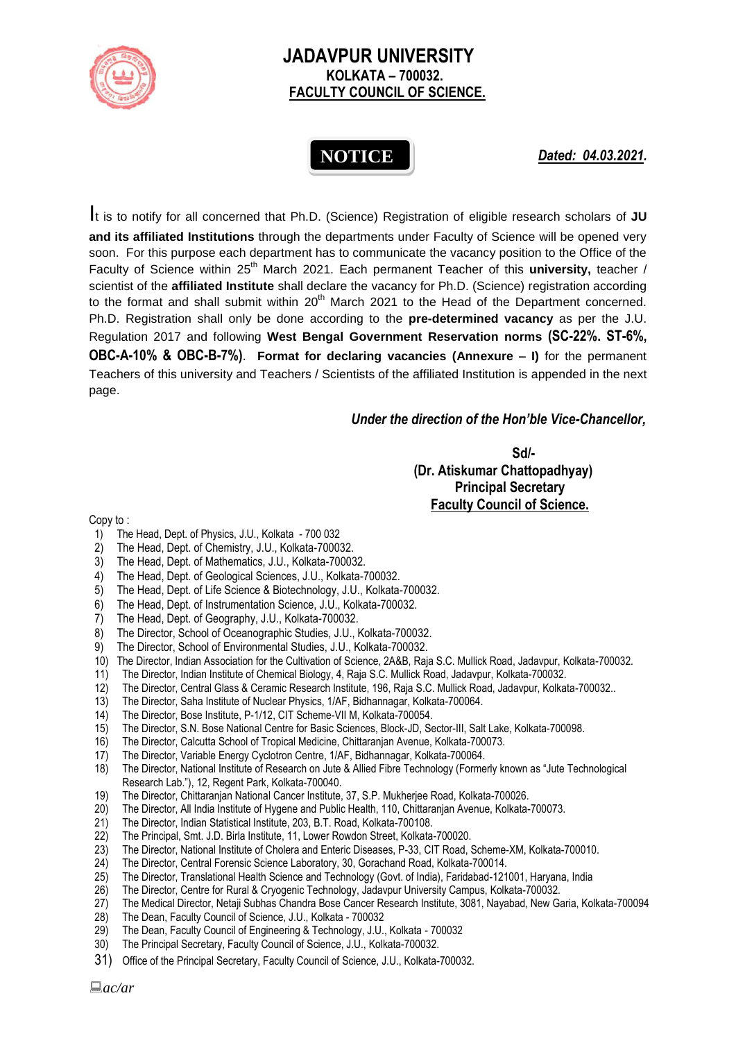

## **JADAVPUR UNIVERSITY KOLKATA – 700032. FACULTY COUNCIL OF SCIENCE.**

# **NOTICE**

*Dated: 04.03.2021.*

It is to notify for all concerned that Ph.D. (Science) Registration of eligible research scholars of **JU and its affiliated Institutions** through the departments under Faculty of Science will be opened very soon. For this purpose each department has to communicate the vacancy position to the Office of the Faculty of Science within 25<sup>th</sup> March 2021. Each permanent Teacher of this university, teacher / scientist of the **affiliated Institute** shall declare the vacancy for Ph.D. (Science) registration according to the format and shall submit within  $20<sup>th</sup>$  March 2021 to the Head of the Department concerned. Ph.D. Registration shall only be done according to the **pre-determined vacancy** as per the J.U. Regulation 2017 and following **West Bengal Government Reservation norms (SC-22%. ST-6%, OBC-A-10% & OBC-B-7%)**. **Format for declaring vacancies (Annexure – I)** for the permanent Teachers of this university and Teachers / Scientists of the affiliated Institution is appended in the next page.

#### *Under the direction of the Hon'ble Vice-Chancellor,*

**Sd/- (Dr. Atiskumar Chattopadhyay) Principal Secretary**

 **Faculty Council of Science.**

Copy to :

- 1) The Head, Dept. of Physics, J.U., Kolkata 700 032
- 2) The Head, Dept. of Chemistry, J.U., Kolkata-700032.
- 3) The Head, Dept. of Mathematics, J.U., Kolkata-700032.
- 4) The Head, Dept. of Geological Sciences, J.U., Kolkata-700032.
- 5) The Head, Dept. of Life Science & Biotechnology, J.U., Kolkata-700032.
- 6) The Head, Dept. of Instrumentation Science, J.U., Kolkata-700032.
- 7) The Head, Dept. of Geography, J.U., Kolkata-700032.
- 8) The Director, School of Oceanographic Studies, J.U., Kolkata-700032.
- 9) The Director, School of Environmental Studies, J.U., Kolkata-700032.
- 10) The Director, Indian Association for the Cultivation of Science, 2A&B, Raja S.C. Mullick Road, Jadavpur, Kolkata-700032.
- 11) The Director, Indian Institute of Chemical Biology, 4, Raja S.C. Mullick Road, Jadavpur, Kolkata-700032.
- 12) The Director, Central Glass & Ceramic Research Institute, 196, Raja S.C. Mullick Road, Jadavpur, Kolkata-700032..
- 13) The Director, Saha Institute of Nuclear Physics, 1/AF, Bidhannagar, Kolkata-700064.
- 14) The Director, Bose Institute, P-1/12, CIT Scheme-VII M, Kolkata-700054.
- 15) The Director, S.N. Bose National Centre for Basic Sciences, Block-JD, Sector-III, Salt Lake, Kolkata-700098.
- 16) The Director, Calcutta School of Tropical Medicine, Chittaranjan Avenue, Kolkata-700073.
- 17) The Director, Variable Energy Cyclotron Centre, 1/AF, Bidhannagar, Kolkata-700064.
- 18) The Director, National Institute of Research on Jute & Allied Fibre Technology (Formerly known as "Jute Technological Research Lab."), 12, Regent Park, Kolkata-700040.
- 19) The Director, Chittaranjan National Cancer Institute, 37, S.P. Mukherjee Road, Kolkata-700026.
- 20) The Director, All India Institute of Hygene and Public Health, 110, Chittaranjan Avenue, Kolkata-700073.
- 21) The Director, Indian Statistical Institute, 203, B.T. Road, Kolkata-700108.
- 22) The Principal, Smt. J.D. Birla Institute, 11, Lower Rowdon Street, Kolkata-700020.
- 23) The Director, National Institute of Cholera and Enteric Diseases, P-33, CIT Road, Scheme-XM, Kolkata-700010.
- 
- 24) The Director, Central Forensic Science Laboratory, 30, Gorachand Road, Kolkata-700014. 25) The Director, Translational Health Science and Technology (Govt. of India), Faridabad-121001, Haryana, India
- 26) The Director, Centre for Rural & Cryogenic Technology, Jadavpur University Campus, Kolkata-700032.
- 27) The Medical Director, Netaji Subhas Chandra Bose Cancer Research Institute, 3081, Nayabad, New Garia, Kolkata-700094
- 28) The Dean, Faculty Council of Science, J.U., Kolkata 700032
- 29) The Dean, Faculty Council of Engineering & Technology, J.U., Kolkata 700032
- 30) The Principal Secretary, Faculty Council of Science, J.U., Kolkata-700032.
- 31) Office of the Principal Secretary, Faculty Council of Science, J.U., Kolkata-700032.